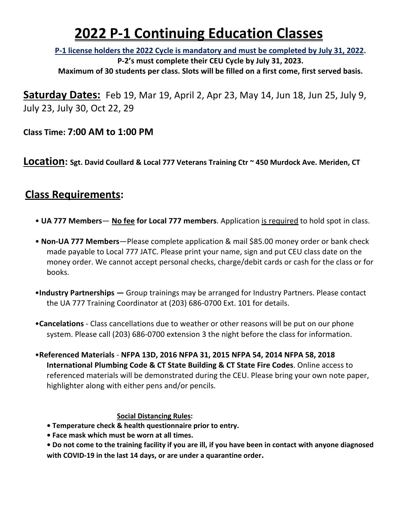# **2022 P-1 Continuing Education Classes**

**P-1 license holders the 2022 Cycle is mandatory and must be completed by July 31, 2022.** 

**P-2's must complete their CEU Cycle by July 31, 2023. Maximum of 30 students per class. Slots will be filled on a first come, first served basis.**

**Saturday Dates:** Feb 19, Mar 19, April 2, Apr 23, May 14, Jun 18, Jun 25, July 9, July 23, July 30, Oct 22, 29

**Class Time: 7:00 AM to 1:00 PM**

**Location: Sgt. David Coullard & Local 777 Veterans Training Ctr ~ 450 Murdock Ave. Meriden, CT** 

## **Class Requirements:**

- **UA 777 Members No fee for Local 777 members**. Application is required to hold spot in class.
- **Non-UA 777 Members**—Please complete application & mail \$85.00 money order or bank check made payable to Local 777 JATC. Please print your name, sign and put CEU class date on the money order. We cannot accept personal checks, charge/debit cards or cash for the class or for books.
- •**Industry Partnerships** Group trainings may be arranged for Industry Partners. Please contact the UA 777 Training Coordinator at (203) 686-0700 Ext. 101 for details.
- •**Cancelations** Class cancellations due to weather or other reasons will be put on our phone system. Please call (203) 686-0700 extension 3 the night before the class for information.
- •**Referenced Materials NFPA 13D, 2016 NFPA 31, 2015 NFPA 54, 2014 NFPA 58, 2018 International Plumbing Code & CT State Building & CT State Fire Codes**. Online access to referenced materials will be demonstrated during the CEU. Please bring your own note paper, highlighter along with either pens and/or pencils.

#### **Social Distancing Rules:**

- **Temperature check & health questionnaire prior to entry.**
- **Face mask which must be worn at all times.**
- **Do not come to the training facility if you are ill, if you have been in contact with anyone diagnosed with COVID-19 in the last 14 days, or are under a quarantine order.**